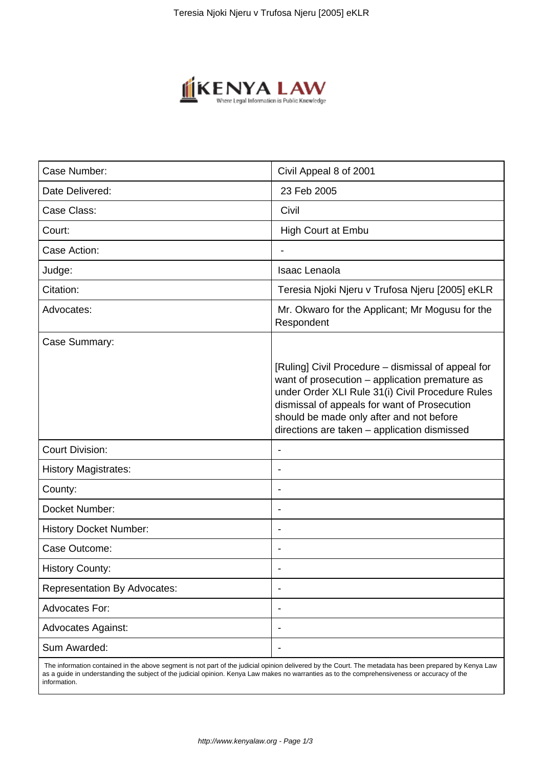

| Case Number:                        | Civil Appeal 8 of 2001                                                                                                                                                                                                                                                                               |
|-------------------------------------|------------------------------------------------------------------------------------------------------------------------------------------------------------------------------------------------------------------------------------------------------------------------------------------------------|
| Date Delivered:                     | 23 Feb 2005                                                                                                                                                                                                                                                                                          |
| Case Class:                         | Civil                                                                                                                                                                                                                                                                                                |
| Court:                              | <b>High Court at Embu</b>                                                                                                                                                                                                                                                                            |
| Case Action:                        |                                                                                                                                                                                                                                                                                                      |
| Judge:                              | <b>Isaac Lenaola</b>                                                                                                                                                                                                                                                                                 |
| Citation:                           | Teresia Njoki Njeru v Trufosa Njeru [2005] eKLR                                                                                                                                                                                                                                                      |
| Advocates:                          | Mr. Okwaro for the Applicant; Mr Mogusu for the<br>Respondent                                                                                                                                                                                                                                        |
| Case Summary:                       |                                                                                                                                                                                                                                                                                                      |
|                                     | [Ruling] Civil Procedure – dismissal of appeal for<br>want of prosecution - application premature as<br>under Order XLI Rule 31(i) Civil Procedure Rules<br>dismissal of appeals for want of Prosecution<br>should be made only after and not before<br>directions are taken - application dismissed |
| <b>Court Division:</b>              |                                                                                                                                                                                                                                                                                                      |
| <b>History Magistrates:</b>         |                                                                                                                                                                                                                                                                                                      |
| County:                             |                                                                                                                                                                                                                                                                                                      |
| Docket Number:                      | $\overline{\phantom{a}}$                                                                                                                                                                                                                                                                             |
| <b>History Docket Number:</b>       |                                                                                                                                                                                                                                                                                                      |
| Case Outcome:                       |                                                                                                                                                                                                                                                                                                      |
| <b>History County:</b>              |                                                                                                                                                                                                                                                                                                      |
| <b>Representation By Advocates:</b> | $\overline{\phantom{a}}$                                                                                                                                                                                                                                                                             |
| Advocates For:                      | $\overline{\phantom{a}}$                                                                                                                                                                                                                                                                             |
| <b>Advocates Against:</b>           |                                                                                                                                                                                                                                                                                                      |
| Sum Awarded:                        |                                                                                                                                                                                                                                                                                                      |
|                                     |                                                                                                                                                                                                                                                                                                      |

 The information contained in the above segment is not part of the judicial opinion delivered by the Court. The metadata has been prepared by Kenya Law as a guide in understanding the subject of the judicial opinion. Kenya Law makes no warranties as to the comprehensiveness or accuracy of the information.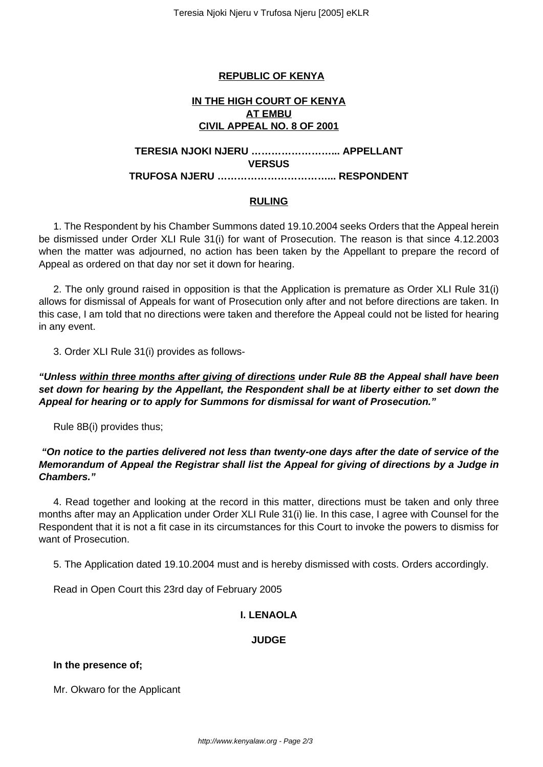## **REPUBLIC OF KENYA**

### **IN THE HIGH COURT OF KENYA AT EMBU CIVIL APPEAL NO. 8 OF 2001**

### **TERESIA NJOKI NJERU ……………………... APPELLANT VERSUS TRUFOSA NJERU ……………………………... RESPONDENT**

#### **RULING**

1. The Respondent by his Chamber Summons dated 19.10.2004 seeks Orders that the Appeal herein be dismissed under Order XLI Rule 31(i) for want of Prosecution. The reason is that since 4.12.2003 when the matter was adjourned, no action has been taken by the Appellant to prepare the record of Appeal as ordered on that day nor set it down for hearing.

2. The only ground raised in opposition is that the Application is premature as Order XLI Rule 31(i) allows for dismissal of Appeals for want of Prosecution only after and not before directions are taken. In this case, I am told that no directions were taken and therefore the Appeal could not be listed for hearing in any event.

3. Order XLI Rule 31(i) provides as follows-

# **"Unless within three months after giving of directions under Rule 8B the Appeal shall have been set down for hearing by the Appellant, the Respondent shall be at liberty either to set down the Appeal for hearing or to apply for Summons for dismissal for want of Prosecution."**

Rule 8B(i) provides thus;

# **"On notice to the parties delivered not less than twenty-one days after the date of service of the Memorandum of Appeal the Registrar shall list the Appeal for giving of directions by a Judge in Chambers."**

4. Read together and looking at the record in this matter, directions must be taken and only three months after may an Application under Order XLI Rule 31(i) lie. In this case, I agree with Counsel for the Respondent that it is not a fit case in its circumstances for this Court to invoke the powers to dismiss for want of Prosecution.

5. The Application dated 19.10.2004 must and is hereby dismissed with costs. Orders accordingly.

Read in Open Court this 23rd day of February 2005

# **I. LENAOLA**

### **JUDGE**

### **In the presence of;**

Mr. Okwaro for the Applicant